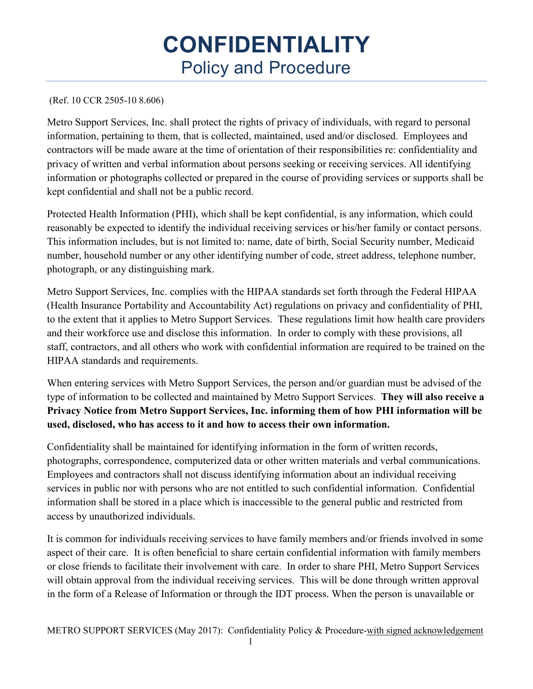# **CONFIDENTIALITY**  Policy and Procedure

#### (Ref. 10 CCR 2505-10 8.606)

Metro Support Services, Inc. shall protect the rights of privacy of individuals, with regard to personal information, pertaining to them, that is collected, maintained, used and/or disclosed. Employees and contractors will be made aware at the time of orientation of their responsibilities re: confidentiality and privacy of written and verbal information about persons seeking or receiving services. All identifying information or photographs collected or prepared in the course of providing services or supports shall be kept confidential and shall not be a public record.

Protected Health Information (PHI), which shall be kept confidential, is any information, which could reasonably be expected to identify the individual receiving services or his/her family or contact persons. This information includes, but is not limited to: name, date of birth, Social Security number, Medicaid number, household number or any other identifying number of code, street address, telephone number, photograph, or any distinguishing mark.

Metro Support Services, Inc. complies with the HIPAA standards set forth through the Federal HIPAA (Health Insurance Portability and Accountability Act) regulations on privacy and confidentiality of PHI, to the extent that it applies to Metro Support Services. These regulations limit how health care providers and their workforce use and disclose this information. In order to comply with these provisions, all staff, contractors, and all others who work with confidential information are required to be trained on the HIPAA standards and requirements.

When entering services with Metro Support Services, the person and/or guardian must be advised of the type of information to be collected and maintained by Metro Support Services. **They will also receive a Privacy Notice from Metro Support Services, Inc. informing them of how PHI information will be used, disclosed, who has access to it and how to access their own information.** 

Confidentiality shall be maintained for identifying information in the form of written records, photographs, correspondence, computerized data or other written materials and verbal communications. Employees and contractors shall not discuss identifying information about an individual receiving services in public nor with persons who are not entitled to such confidential information. Confidential information shall be stored in a place which is inaccessible to the general public and restricted from access by unauthorized individuals.

It is common for individuals receiving services to have family members and/or friends involved in some aspect of their care. It is often beneficial to share certain confidential information with family members or close friends to facilitate their involvement with care. In order to share PHI, Metro Support Services will obtain approval from the individual receiving services. This will be done through written approval in the form of a Release of Information or through the IDT process. When the person is unavailable or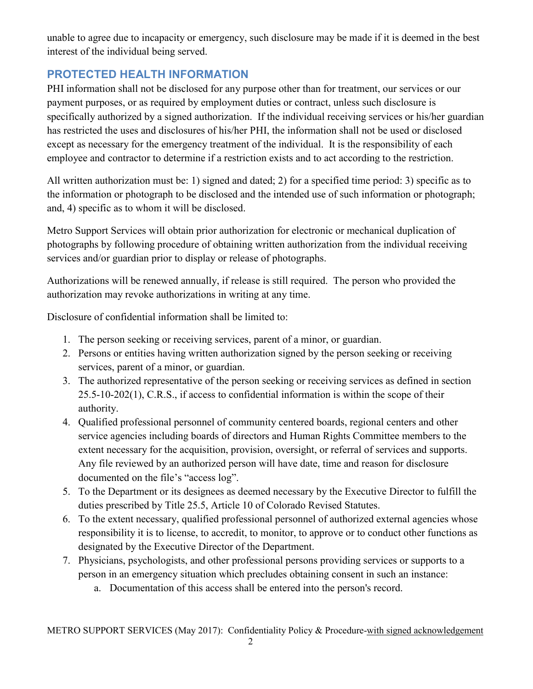unable to agree due to incapacity or emergency, such disclosure may be made if it is deemed in the best interest of the individual being served.

## **PROTECTED HEALTH INFORMATION**

PHI information shall not be disclosed for any purpose other than for treatment, our services or our payment purposes, or as required by employment duties or contract, unless such disclosure is specifically authorized by a signed authorization. If the individual receiving services or his/her guardian has restricted the uses and disclosures of his/her PHI, the information shall not be used or disclosed except as necessary for the emergency treatment of the individual. It is the responsibility of each employee and contractor to determine if a restriction exists and to act according to the restriction.

All written authorization must be: 1) signed and dated; 2) for a specified time period: 3) specific as to the information or photograph to be disclosed and the intended use of such information or photograph; and, 4) specific as to whom it will be disclosed.

Metro Support Services will obtain prior authorization for electronic or mechanical duplication of photographs by following procedure of obtaining written authorization from the individual receiving services and/or guardian prior to display or release of photographs.

Authorizations will be renewed annually, if release is still required. The person who provided the authorization may revoke authorizations in writing at any time.

Disclosure of confidential information shall be limited to:

- 1. The person seeking or receiving services, parent of a minor, or guardian.
- 2. Persons or entities having written authorization signed by the person seeking or receiving services, parent of a minor, or guardian.
- 3. The authorized representative of the person seeking or receiving services as defined in section 25.5-10-202(1), C.R.S., if access to confidential information is within the scope of their authority.
- 4. Qualified professional personnel of community centered boards, regional centers and other service agencies including boards of directors and Human Rights Committee members to the extent necessary for the acquisition, provision, oversight, or referral of services and supports. Any file reviewed by an authorized person will have date, time and reason for disclosure documented on the file's "access log".
- 5. To the Department or its designees as deemed necessary by the Executive Director to fulfill the duties prescribed by Title 25.5, Article 10 of Colorado Revised Statutes.
- 6. To the extent necessary, qualified professional personnel of authorized external agencies whose responsibility it is to license, to accredit, to monitor, to approve or to conduct other functions as designated by the Executive Director of the Department.
- 7. Physicians, psychologists, and other professional persons providing services or supports to a person in an emergency situation which precludes obtaining consent in such an instance:
	- a. Documentation of this access shall be entered into the person's record.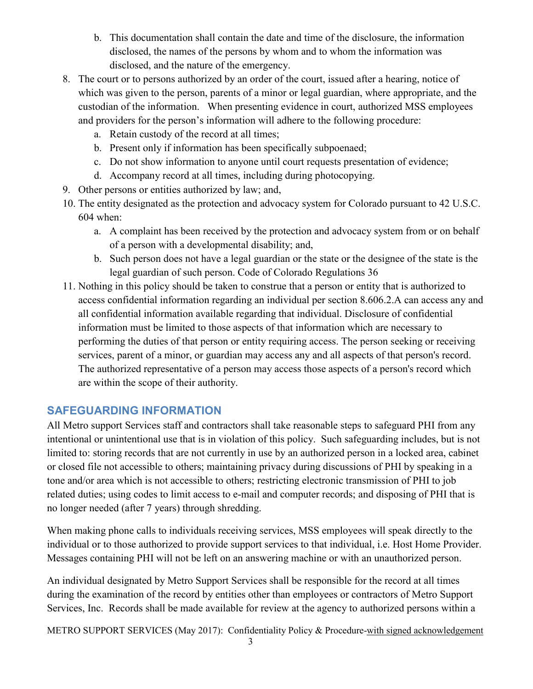- b. This documentation shall contain the date and time of the disclosure, the information disclosed, the names of the persons by whom and to whom the information was disclosed, and the nature of the emergency.
- 8. The court or to persons authorized by an order of the court, issued after a hearing, notice of which was given to the person, parents of a minor or legal guardian, where appropriate, and the custodian of the information. When presenting evidence in court, authorized MSS employees and providers for the person's information will adhere to the following procedure:
	- a. Retain custody of the record at all times;
	- b. Present only if information has been specifically subpoenaed;
	- c. Do not show information to anyone until court requests presentation of evidence;
	- d. Accompany record at all times, including during photocopying.
- 9. Other persons or entities authorized by law; and,
- 10. The entity designated as the protection and advocacy system for Colorado pursuant to 42 U.S.C. 604 when:
	- a. A complaint has been received by the protection and advocacy system from or on behalf of a person with a developmental disability; and,
	- b. Such person does not have a legal guardian or the state or the designee of the state is the legal guardian of such person. Code of Colorado Regulations 36
- 11. Nothing in this policy should be taken to construe that a person or entity that is authorized to access confidential information regarding an individual per section 8.606.2.A can access any and all confidential information available regarding that individual. Disclosure of confidential information must be limited to those aspects of that information which are necessary to performing the duties of that person or entity requiring access. The person seeking or receiving services, parent of a minor, or guardian may access any and all aspects of that person's record. The authorized representative of a person may access those aspects of a person's record which are within the scope of their authority.

## **SAFEGUARDING INFORMATION**

All Metro support Services staff and contractors shall take reasonable steps to safeguard PHI from any intentional or unintentional use that is in violation of this policy. Such safeguarding includes, but is not limited to: storing records that are not currently in use by an authorized person in a locked area, cabinet or closed file not accessible to others; maintaining privacy during discussions of PHI by speaking in a tone and/or area which is not accessible to others; restricting electronic transmission of PHI to job related duties; using codes to limit access to e-mail and computer records; and disposing of PHI that is no longer needed (after 7 years) through shredding.

When making phone calls to individuals receiving services, MSS employees will speak directly to the individual or to those authorized to provide support services to that individual, i.e. Host Home Provider. Messages containing PHI will not be left on an answering machine or with an unauthorized person.

An individual designated by Metro Support Services shall be responsible for the record at all times during the examination of the record by entities other than employees or contractors of Metro Support Services, Inc. Records shall be made available for review at the agency to authorized persons within a

METRO SUPPORT SERVICES (May 2017): Confidentiality Policy & Procedure-with signed acknowledgement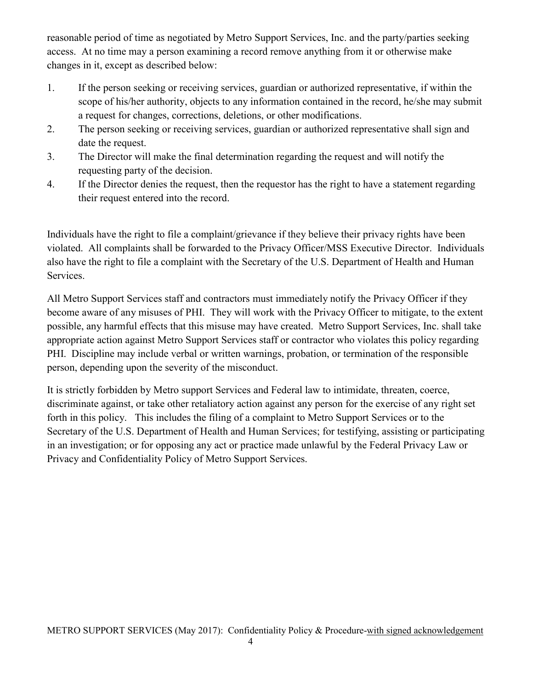reasonable period of time as negotiated by Metro Support Services, Inc. and the party/parties seeking access. At no time may a person examining a record remove anything from it or otherwise make changes in it, except as described below:

- 1. If the person seeking or receiving services, guardian or authorized representative, if within the scope of his/her authority, objects to any information contained in the record, he/she may submit a request for changes, corrections, deletions, or other modifications.
- 2. The person seeking or receiving services, guardian or authorized representative shall sign and date the request.
- 3. The Director will make the final determination regarding the request and will notify the requesting party of the decision.
- 4. If the Director denies the request, then the requestor has the right to have a statement regarding their request entered into the record.

Individuals have the right to file a complaint/grievance if they believe their privacy rights have been violated. All complaints shall be forwarded to the Privacy Officer/MSS Executive Director. Individuals also have the right to file a complaint with the Secretary of the U.S. Department of Health and Human Services.

All Metro Support Services staff and contractors must immediately notify the Privacy Officer if they become aware of any misuses of PHI. They will work with the Privacy Officer to mitigate, to the extent possible, any harmful effects that this misuse may have created. Metro Support Services, Inc. shall take appropriate action against Metro Support Services staff or contractor who violates this policy regarding PHI. Discipline may include verbal or written warnings, probation, or termination of the responsible person, depending upon the severity of the misconduct.

It is strictly forbidden by Metro support Services and Federal law to intimidate, threaten, coerce, discriminate against, or take other retaliatory action against any person for the exercise of any right set forth in this policy. This includes the filing of a complaint to Metro Support Services or to the Secretary of the U.S. Department of Health and Human Services; for testifying, assisting or participating in an investigation; or for opposing any act or practice made unlawful by the Federal Privacy Law or Privacy and Confidentiality Policy of Metro Support Services.